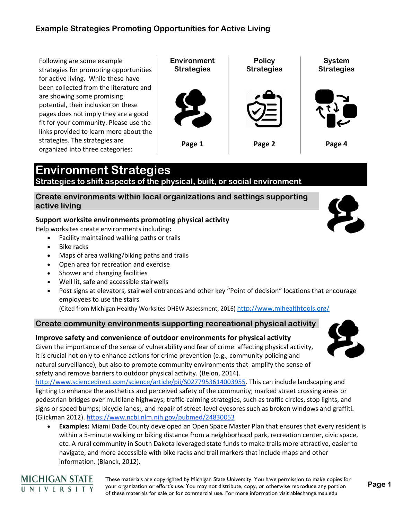Following are some example strategies for promoting opportunities for active living. While these have been collected from the literature and are showing some promising potential, their inclusion on these pages does not imply they are a good fit for your community. Please use the links provided to learn more about the strategies. The strategies are organized into three categories:



# **Environment Strategies**

**Strategies to shift aspects of the physical, built, or social environment** 

### **Create environments within local organizations and settings supporting active living**

### **Support worksite environments promoting physical activity**

Help worksites create environments including**:**

- Facility maintained walking paths or trails
- Bike racks

**MICHIGAN STATE** UNIVERSITY

- Maps of area walking/biking paths and trails
- Open area for recreation and exercise
- Shower and changing facilities
- Well lit, safe and accessible stairwells
- Post signs at elevators, stairwell entrances and other key "Point of decision" locations that encourage employees to use the stairs

(Cited from Michigan Healthy Worksites DHEW Assessment, 2016) <http://www.mihealthtools.org/>

### **Create community environments supporting recreational physical activity**

### **Improve safety and convenience of outdoor environments for physical activity**

Given the importance of the sense of vulnerability and fear of crime affecting physical activity, it is crucial not only to enhance actions for crime prevention (e.g., community policing and natural surveillance), but also to promote community environments that amplify the sense of safety and remove barriers to outdoor physical activity. (Belon, 2014).

[http://www.sciencedirect.com/science/article/pii/S0277953614003955.](http://www.sciencedirect.com/science/article/pii/S0277953614003955) This can include landscaping and lighting to enhance the aesthetics and perceived safety of the community; marked street crossing areas or pedestrian bridges over multilane highways; traffic-calming strategies, such as traffic circles, stop lights, and signs or speed bumps; bicycle lanes;, and repair of street-level eyesores such as broken windows and graffiti. (Glickman 2012). <https://www.ncbi.nlm.nih.gov/pubmed/24830053>

• **Examples:** Miami Dade County developed an Open Space Master Plan that ensures that every resident is within a 5-minute walking or biking distance from a neighborhood park, recreation center, civic space, etc. A rural community in South Dakota leveraged state funds to make trails more attractive, easier to navigate, and more accessible with bike racks and trail markers that include maps and other information. (Blanck, 2012).

> These materials are copyrighted by Michigan State University. You have permission to make copies for your organization or effort's use. You may not distribute, copy, or otherwise reproduce any portion of these materials for sale or for commercial use. For more information visit ablechange.msu.edu



**Page 1**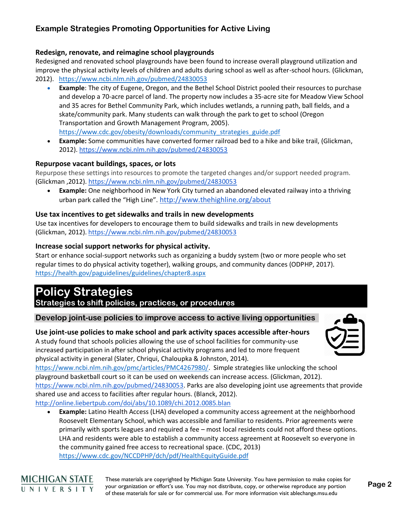### **Redesign, renovate, and reimagine school playgrounds**

Redesigned and renovated school playgrounds have been found to increase overall playground utilization and improve the physical activity levels of children and adults during school as well as after-school hours. (Glickman, 2012). <https://www.ncbi.nlm.nih.gov/pubmed/24830053>

- **Example**: The city of Eugene, Oregon, and the Bethel School District pooled their resources to purchase and develop a 70-acre parcel of land. The property now includes a 35-acre site for Meadow View School and 35 acres for Bethel Community Park, which includes wetlands, a running path, ball fields, and a skate/community park. Many students can walk through the park to get to school (Oregon Transportation and Growth Management Program, 2005). [https://www.cdc.gov/obesity/downloads/community\\_strategies\\_guide.pdf](https://www.cdc.gov/obesity/downloads/community_strategies_guide.pdf)
- **Example:** Some communities have converted former railroad bed to a hike and bike trail, (Glickman, 2012).<https://www.ncbi.nlm.nih.gov/pubmed/24830053>

#### **Repurpose vacant buildings, spaces, or lots**

Repurpose these settings into resources to promote the targeted changes and/or support needed program. (Glickman ,2012).<https://www.ncbi.nlm.nih.gov/pubmed/24830053>

• **Example:** One neighborhood in New York City turned an abandoned elevated railway into a thriving urban park called the "High Line". <http://www.thehighline.org/about>

### **Use tax incentives to get sidewalks and trails in new developments**

Use tax incentives for developers to encourage them to build sidewalks and trails in new developments (Glickman, 2012). <https://www.ncbi.nlm.nih.gov/pubmed/24830053>

### **Increase social support networks for physical activity.**

Start or enhance social-support networks such as organizing a buddy system (two or more people who set regular times to do physical activity together), walking groups, and community dances (ODPHP, 2017). <https://health.gov/paguidelines/guidelines/chapter8.aspx>

## **Policy Strategies**

**Strategies to shift policies, practices, or procedures**

### **Develop joint-use policies to improve access to active living opportunities**

### **Use joint-use policies to make school and park activity spaces accessible after-hours**

A study found that schools policies allowing the use of school facilities for community-use increased participation in after school physical activity programs and led to more frequent physical activity in general (Slater, Chriqui, Chaloupka & Johnston, 2014).

[https://www.ncbi.nlm.nih.gov/pmc/articles/PMC4267980/.](https://www.ncbi.nlm.nih.gov/pmc/articles/PMC4267980/) Simple strategies like unlocking the school playground basketball court so it can be used on weekends can increase access. (Glickman, 2012). [https://www.ncbi.nlm.nih.gov/pubmed/24830053.](https://www.ncbi.nlm.nih.gov/pubmed/24830053) Parks are also developing joint use agreements that provide shared use and access to facilities after regular hours. (Blanck, 2012). <http://online.liebertpub.com/doi/abs/10.1089/chi.2012.0085.blan>

• **Example:** Latino Health Access (LHA) developed a community access agreement at the neighborhood Roosevelt Elementary School, which was accessible and familiar to residents. Prior agreements were primarily with sports leagues and required a fee – most local residents could not afford these options. LHA and residents were able to establish a community access agreement at Roosevelt so everyone in the community gained free access to recreational space. (CDC, 2013) <https://www.cdc.gov/NCCDPHP/dch/pdf/HealthEquityGuide.pdf>

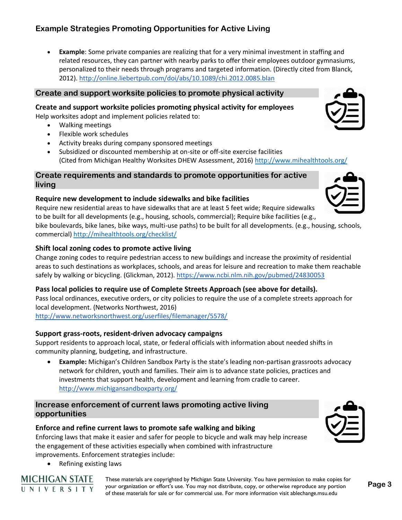• **Example**: Some private companies are realizing that for a very minimal investment in staffing and related resources, they can partner with nearby parks to offer their employees outdoor gymnasiums, personalized to their needs through programs and targeted information. (Directly cited from Blanck, 2012).<http://online.liebertpub.com/doi/abs/10.1089/chi.2012.0085.blan>

### **Create and support worksite policies to promote physical activity**

**Create and support worksite policies promoting physical activity for employees**

Help worksites adopt and implement policies related to:

- Walking meetings
- Flexible work schedules
- Activity breaks during company sponsored meetings
- Subsidized or discounted membership at on-site or off-site exercise facilities (Cited from Michigan Healthy Worksites DHEW Assessment, 2016)<http://www.mihealthtools.org/>

### **Create requirements and standards to promote opportunities for active living**

### **Require new development to include sidewalks and bike facilities**

Require new residential areas to have sidewalks that are at least 5 feet wide; Require sidewalks to be built for all developments (e.g., housing, schools, commercial); Require bike facilities (e.g., bike boulevards, bike lanes, bike ways, multi-use paths) to be built for all developments. (e.g., housing, schools,

commercial)<http://mihealthtools.org/checklist/>

### **Shift local zoning codes to promote active living**

Change zoning codes to require pedestrian access to new buildings and increase the proximity of residential areas to such destinations as workplaces, schools, and areas for leisure and recreation to make them reachable safely by walking or bicycling. (Glickman, 2012).<https://www.ncbi.nlm.nih.gov/pubmed/24830053>

### **Pass local policies to require use of Complete Streets Approach (see above for details).**

Pass local ordinances, executive orders, or city policies to require the use of a complete streets approach for local development. (Networks Northwest, 2016)

<http://www.networksnorthwest.org/userfiles/filemanager/5578/>

### **Support grass-roots, resident-driven advocacy campaigns**

Support residents to approach local, state, or federal officials with information about needed shifts in community planning, budgeting, and infrastructure.

• **Example:** Michigan's Children Sandbox Party is the state's leading non-partisan grassroots advocacy network for children, youth and families. Their aim is to advance state policies, practices and investments that support health, development and learning from cradle to career. <http://www.michigansandboxparty.org/>

### **Increase enforcement of current laws promoting active living opportunities**

### **Enforce and refine current laws to promote safe walking and biking**

Enforcing laws that make it easier and safer for people to bicycle and walk may help increase the engagement of these activities especially when combined with infrastructure improvements. Enforcement strategies include:

• Refining existing laws

**MICHIGAN STATE** UNIVERSITY



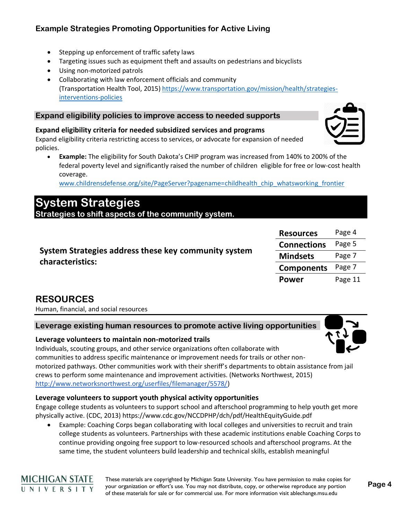- Stepping up enforcement of traffic safety laws
- Targeting issues such as equipment theft and assaults on pedestrians and bicyclists
- Using non-motorized patrols
- Collaborating with law enforcement officials and community (Transportation Health Tool, 2015) [https://www.transportation.gov/mission/health/strategies](https://www.transportation.gov/mission/health/strategies-interventions-policies)[interventions-policies](https://www.transportation.gov/mission/health/strategies-interventions-policies)

### **Expand eligibility policies to improve access to needed supports**

### **Expand eligibility criteria for needed subsidized services and programs**

Expand eligibility criteria restricting access to services, or advocate for expansion of needed policies.

• **Example:** The eligibility for South Dakota's CHIP program was increased from 140% to 200% of the federal poverty level and significantly raised the number of children eligible for free or low-cost health coverage.

[www.childrensdefense.org/site/PageServer?pagename=childhealth\\_chip\\_whatsworking\\_frontier](http://www.childrensdefense.org/site/PageServer?pagename=childhealth_chip_whatsworking_frontier)

## **System Strategies**

**Strategies to shift aspects of the community system.**

| System Strategies address these key community system<br>characteristics: | <b>Resources</b>   | Page 4  |
|--------------------------------------------------------------------------|--------------------|---------|
|                                                                          | <b>Connections</b> | Page 5  |
|                                                                          | <b>Mindsets</b>    | Page 7  |
|                                                                          | <b>Components</b>  | Page 7  |
|                                                                          | <b>Power</b>       | Page 11 |

### **RESOURCES**

**MICHIGAN STATE** UNIVERSITY

Human, financial, and social resources

### **Leverage existing human resources to promote active living opportunities**

### **Leverage volunteers to maintain non-motorized trails**

Individuals, scouting groups, and other service organizations often collaborate with communities to address specific maintenance or improvement needs for trails or other nonmotorized pathways. Other communities work with their sheriff's departments to obtain assistance from jail crews to perform some maintenance and improvement activities. (Networks Northwest, 2015) [http://www.networksnorthwest.org/userfiles/filemanager/5578/\)](http://www.networksnorthwest.org/userfiles/filemanager/5578/)

### **Leverage volunteers to support youth physical activity opportunities**

Engage college students as volunteers to support school and afterschool programming to help youth get more physically active. (CDC, 2013)<https://www.cdc.gov/NCCDPHP/dch/pdf/HealthEquityGuide.pdf>

• Example: Coaching Corps began collaborating with local colleges and universities to recruit and train college students as volunteers. Partnerships with these academic institutions enable Coaching Corps to continue providing ongoing free support to low-resourced schools and afterschool programs. At the same time, the student volunteers build leadership and technical skills, establish meaningful

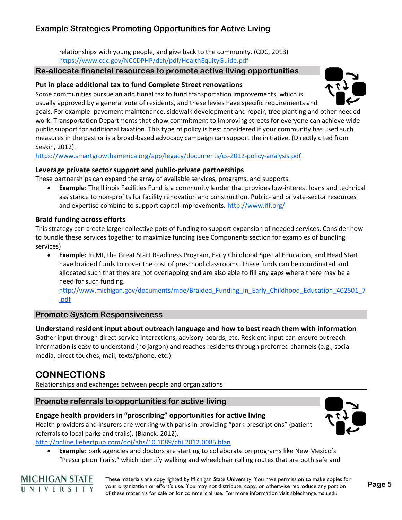relationships with young people, and give back to the community. (CDC, 2013) <https://www.cdc.gov/NCCDPHP/dch/pdf/HealthEquityGuide.pdf>

### **Re-allocate financial resources to promote active living opportunities**

### **Put in place additional tax to fund Complete Street renovations**

Some communities pursue an additional tax to fund transportation improvements, which is usually approved by a general vote of residents, and these levies have specific requirements and

goals. For example: pavement maintenance, sidewalk development and repair, tree planting and other needed work. Transportation Departments that show commitment to improving streets for everyone can achieve wide public support for additional taxation. This type of policy is best considered if your community has used such measures in the past or is a broad-based advocacy campaign can support the initiative. (Directly cited from Seskin, 2012).

<https://www.smartgrowthamerica.org/app/legacy/documents/cs-2012-policy-analysis.pdf>

### **Leverage private sector support and public-private partnerships**

These partnerships can expand the array of available services, programs, and supports.

• **Example**: The Illinois Facilities Fund is a community lender that provides low-interest loans and technical assistance to non-profits for facility renovation and construction. Public- and private-sector resources and expertise combine to support capital improvements.<http://www.iff.org/>

### **Braid funding across efforts**

This strategy can create larger collective pots of funding to support expansion of needed services. Consider how to bundle these services together to maximize funding (see Components section for examples of bundling services)

• **Example:** In MI, the Great Start Readiness Program, Early Childhood Special Education, and Head Start have braided funds to cover the cost of preschool classrooms. These funds can be coordinated and allocated such that they are not overlapping and are also able to fill any gaps where there may be a need for such funding.

http://www.michigan.gov/documents/mde/Braided Funding in Early Childhood Education 402501 7 [.pdf](http://www.michigan.gov/documents/mde/Braided_Funding_in_Early_Childhood_Education_402501_7.pdf)

### **Promote System Responsiveness**

### **Understand resident input about outreach language and how to best reach them with information**

Gather input through direct service interactions, advisory boards, etc. Resident input can ensure outreach information is easy to understand (no jargon) and reaches residents through preferred channels (e.g., social media, direct touches, mail, texts/phone, etc.).

### **CONNECTIONS**

Relationships and exchanges between people and organizations

### **Promote referrals to opportunities for active living**

### **Engage health providers in "proscribing" opportunities for active living**

Health providers and insurers are working with parks in providing "park prescriptions" (patient referrals to local parks and trails). (Blanck, 2012).

<http://online.liebertpub.com/doi/abs/10.1089/chi.2012.0085.blan>

• **Example**: park agencies and doctors are starting to collaborate on programs like New Mexico's "Prescription Trails," which identify walking and wheelchair rolling routes that are both safe and



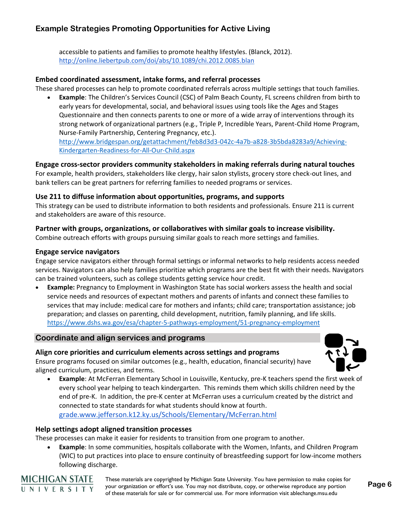accessible to patients and families to promote healthy lifestyles. (Blanck, 2012). <http://online.liebertpub.com/doi/abs/10.1089/chi.2012.0085.blan>

### **Embed coordinated assessment, intake forms, and referral processes**

These shared processes can help to promote coordinated referrals across multiple settings that touch families.

• **Example**: The Children's Services Council (CSC) of Palm Beach County, FL screens children from birth to early years for developmental, social, and behavioral issues using tools like the Ages and Stages Questionnaire and then connects parents to one or more of a wide array of interventions through its strong network of organizational partners (e.g., Triple P, Incredible Years, Parent-Child Home Program, Nurse-Family Partnership, Centering Pregnancy, etc.). [http://www.bridgespan.org/getattachment/feb8d3d3-042c-4a7b-a828-3b5bda8283a9/Achieving-](http://www.bridgespan.org/getattachment/feb8d3d3-042c-4a7b-a828-3b5bda8283a9/Achieving-Kindergarten-Readiness-for-All-Our-Child.aspx)[Kindergarten-Readiness-for-All-Our-Child.aspx](http://www.bridgespan.org/getattachment/feb8d3d3-042c-4a7b-a828-3b5bda8283a9/Achieving-Kindergarten-Readiness-for-All-Our-Child.aspx)

**Engage cross-sector providers community stakeholders in making referrals during natural touches**

For example, health providers, stakeholders like clergy, hair salon stylists, grocery store check-out lines, and bank tellers can be great partners for referring families to needed programs or services.

#### **Use 211 to diffuse information about opportunities, programs, and supports**

This strategy can be used to distribute information to both residents and professionals. Ensure 211 is current and stakeholders are aware of this resource.

#### **Partner with groups, organizations, or collaboratives with similar goals to increase visibility.**

Combine outreach efforts with groups pursuing similar goals to reach more settings and families.

#### **Engage service navigators**

Engage service navigators either through formal settings or informal networks to help residents access needed services. Navigators can also help families prioritize which programs are the best fit with their needs. Navigators can be trained volunteers, such as college students getting service hour credit.

• **Example:** Pregnancy to Employment in Washington State has social workers assess the health and social service needs and resources of expectant mothers and parents of infants and connect these families to services that may include: medical care for mothers and infants; child care; transportation assistance; job preparation; and classes on parenting, child development, nutrition, family planning, and life skills. <https://www.dshs.wa.gov/esa/chapter-5-pathways-employment/51-pregnancy-employment>

### **Coordinate and align services and programs**

#### **Align core priorities and curriculum elements across settings and programs**

Ensure programs focused on similar outcomes (e.g., health, education, financial security) have aligned curriculum, practices, and terms.

• **Example**: At McFerran Elementary School in Louisville, Kentucky, pre-K teachers spend the first week of every school year helping to teach kindergarten. This reminds them which skills children need by the end of pre-K. In addition, the pre-K center at McFerran uses a curriculum created by the district and connected to state standards for what students should know at fourth. [grade.www.jefferson.k12.ky.us/Schools/Elementary/McFerran.html](http://grade.www.jefferson.k12.ky.us/Schools/Elementary/McFerran.html)

#### **Help settings adopt aligned transition processes**

These processes can make it easier for residents to transition from one program to another.

• **Example**: In some communities, hospitals collaborate with the Women, Infants, and Children Program (WIC) to put practices into place to ensure continuity of breastfeeding support for low-income mothers following discharge.



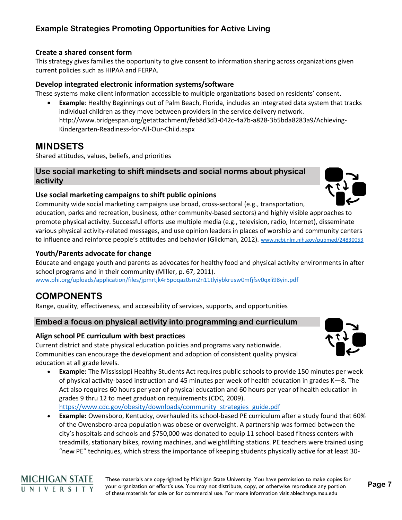### **Create a shared consent form**

This strategy gives families the opportunity to give consent to information sharing across organizations given current policies such as HIPAA and FERPA.

### **Develop integrated electronic information systems/software**

These systems make client information accessible to multiple organizations based on residents' consent.

• **Example**: Healthy Beginnings out of Palm Beach, Florida, includes an integrated data system that tracks individual children as they move between providers in the service delivery network. [http://www.bridgespan.org/getattachment/feb8d3d3-042c-4a7b-a828-3b5bda8283a9/Achieving-](http://www.bridgespan.org/getattachment/feb8d3d3-042c-4a7b-a828-3b5bda8283a9/Achieving-Kindergarten-Readiness-for-All-Our-Child.aspx)[Kindergarten-Readiness-for-All-Our-Child.aspx](http://www.bridgespan.org/getattachment/feb8d3d3-042c-4a7b-a828-3b5bda8283a9/Achieving-Kindergarten-Readiness-for-All-Our-Child.aspx)

### **MINDSETS**

Shared attitudes, values, beliefs, and priorities

### **Use social marketing to shift mindsets and social norms about physical activity**

### **Use social marketing campaigns to shift public opinions**

Community wide social marketing campaigns use broad, cross-sectoral (e.g., transportation, education, parks and recreation, business, other community-based sectors) and highly visible approaches to promote physical activity. Successful efforts use multiple media (e.g., television, radio, Internet), disseminate various physical activity-related messages, and use opinion leaders in places of worship and community centers to influence and reinforce people's attitudes and behavior (Glickman, 2012). [www.ncbi.nlm.nih.gov/pubmed/24830053](http://www.ncbi.nlm.nih.gov/pubmed/24830053)

#### **Youth/Parents advocate for change**

Educate and engage youth and parents as advocates for healthy food and physical activity environments in after school programs and in their community (Miller, p. 67, 2011).

[www.phi.org/uploads/application/files/jpmrtjk4r5poqaz0sm2n11tlyiybkrusw0mfjfsv0qxli98yin.pdf](http://www.phi.org/uploads/application/files/jpmrtjk4r5poqaz0sm2n11tlyiybkrusw0mfjfsv0qxli98yin.pdf)

### **COMPONENTS**

Range, quality, effectiveness, and accessibility of services, supports, and opportunities

### **Embed a focus on physical activity into programming and curriculum**

### **Align school PE curriculum with best practices**

Current district and state physical education policies and programs vary nationwide. Communities can encourage the development and adoption of consistent quality physical education at all grade levels.

- **Example:** The Mississippi Healthy Students Act requires public schools to provide 150 minutes per week of physical activity-based instruction and 45 minutes per week of health education in grades K—8. The Act also requires 60 hours per year of physical education and 60 hours per year of health education in grades 9 thru 12 to meet graduation requirements (CDC, 2009). [https://www.cdc.gov/obesity/downloads/community\\_strategies\\_guide.pdf](https://www.cdc.gov/obesity/downloads/community_strategies_guide.pdf)
- **Example:** Owensboro, Kentucky, overhauled its school-based PE curriculum after a study found that 60% of the Owensboro-area population was obese or overweight. A partnership was formed between the city's hospitals and schools and \$750,000 was donated to equip 11 school-based fitness centers with treadmills, stationary bikes, rowing machines, and weightlifting stations. PE teachers were trained using "new PE" techniques, which stress the importance of keeping students physically active for at least 30-



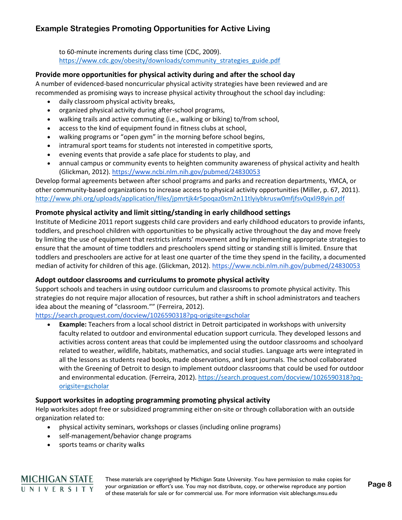to 60-minute increments during class time (CDC, 2009). [https://www.cdc.gov/obesity/downloads/community\\_strategies\\_guide.pdf](https://www.cdc.gov/obesity/downloads/community_strategies_guide.pdf)

### **Provide more opportunities for physical activity during and after the school day**

A number of evidenced-based noncurricular physical activity strategies have been reviewed and are recommended as promising ways to increase physical activity throughout the school day including:

- daily classroom physical activity breaks,
- organized physical activity during after-school programs,
- walking trails and active commuting (i.e., walking or biking) to/from school,
- access to the kind of equipment found in fitness clubs at school,
- walking programs or "open gym" in the morning before school begins,
- intramural sport teams for students not interested in competitive sports,
- evening events that provide a safe place for students to play, and
- annual campus or community events to heighten community awareness of physical activity and health (Glickman, 2012). <https://www.ncbi.nlm.nih.gov/pubmed/24830053>

Develop formal agreements between after school programs and parks and recreation departments, YMCA, or other community-based organizations to increase access to physical activity opportunities (Miller, p. 67, 2011). <http://www.phi.org/uploads/application/files/jpmrtjk4r5poqaz0sm2n11tlyiybkrusw0mfjfsv0qxli98yin.pdf>

### **Promote physical activity and limit sitting/standing in early childhood settings**

Institute of Medicine 2011 report suggests child care providers and early childhood educators to provide infants, toddlers, and preschool children with opportunities to be physically active throughout the day and move freely by limiting the use of equipment that restricts infants' movement and by implementing appropriate strategies to ensure that the amount of time toddlers and preschoolers spend sitting or standing still is limited. Ensure that toddlers and preschoolers are active for at least one quarter of the time they spend in the facility, a documented median of activity for children of this age. (Glickman, 2012).<https://www.ncbi.nlm.nih.gov/pubmed/24830053>

### **Adopt outdoor classrooms and curriculums to promote physical activity**

Support schools and teachers in using outdoor curriculum and classrooms to promote physical activity. This strategies do not require major allocation of resources, but rather a shift in school administrators and teachers idea about the meaning of "classroom."" (Ferreira, 2012).

### <https://search.proquest.com/docview/1026590318?pq-origsite=gscholar>

• **Example:** Teachers from a local school district in Detroit participated in workshops with university faculty related to outdoor and environmental education support curricula. They developed lessons and activities across content areas that could be implemented using the outdoor classrooms and schoolyard related to weather, wildlife, habitats, mathematics, and social studies. Language arts were integrated in all the lessons as students read books, made observations, and kept journals. The school collaborated with the Greening of Detroit to design to implement outdoor classrooms that could be used for outdoor and environmental education. (Ferreira, 2012). [https://search.proquest.com/docview/1026590318?pq](https://search.proquest.com/docview/1026590318?pq-origsite=gscholar)[origsite=gscholar](https://search.proquest.com/docview/1026590318?pq-origsite=gscholar)

### **Support worksites in adopting programming promoting physical activity**

Help worksites adopt free or subsidized programming either on-site or through collaboration with an outside organization related to:

- physical activity seminars, workshops or classes (including online programs)
- self-management/behavior change programs
- sports teams or charity walks

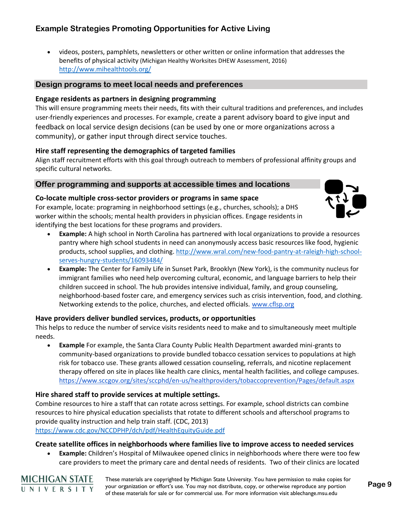• videos, posters, pamphlets, newsletters or other written or online information that addresses the benefits of physical activity (Michigan Healthy Worksites DHEW Assessment, 2016) <http://www.mihealthtools.org/>

### **Design programs to meet local needs and preferences**

### **Engage residents as partners in designing programming**

This will ensure programming meets their needs, fits with their cultural traditions and preferences, and includes user-friendly experiences and processes. For example, create a parent advisory board to give input and feedback on local service design decisions (can be used by one or more organizations across a community), or gather input through direct service touches.

### **Hire staff representing the demographics of targeted families**

Align staff recruitment efforts with this goal through outreach to members of professional affinity groups and specific cultural networks.

### **Offer programming and supports at accessible times and locations**

#### **Co-locate multiple cross-sector providers or programs in same space**

For example, locate: programing in neighborhood settings (e.g., churches, schools); a DHS worker within the schools; mental health providers in physician offices. Engage residents in identifying the best locations for these programs and providers.



- **Example:** A high school in North Carolina has partnered with local organizations to provide a resources pantry where high school students in need can anonymously access basic resources like food, hygienic products, school supplies, and clothing. [http://www.wral.com/new-food-pantry-at-raleigh-high-school](http://www.wral.com/new-food-pantry-at-raleigh-high-school-serves-hungry-students/16093484/)[serves-hungry-students/16093484/](http://www.wral.com/new-food-pantry-at-raleigh-high-school-serves-hungry-students/16093484/)
- **Example:** The Center for Family Life in Sunset Park, Brooklyn (New York), is the community nucleus for immigrant families who need help overcoming cultural, economic, and language barriers to help their children succeed in school. The hub provides intensive individual, family, and group counseling, neighborhood-based foster care, and emergency services such as crisis intervention, food, and clothing. Networking extends to the police, churches, and elected officials. [www.cflsp.org](http://www.cflsp.org/)

### **Have providers deliver bundled services, products, or opportunities**

This helps to reduce the number of service visits residents need to make and to simultaneously meet multiple needs.

• **Example** For example, the Santa Clara County Public Health Department awarded mini-grants to community-based organizations to provide bundled tobacco cessation services to populations at high risk for tobacco use. These grants allowed cessation counseling, referrals, and nicotine replacement therapy offered on site in places like health care clinics, mental health facilities, and college campuses. <https://www.sccgov.org/sites/sccphd/en-us/healthproviders/tobaccoprevention/Pages/default.aspx>

### **Hire shared staff to provide services at multiple settings.**

Combine resources to hire a staff that can rotate across settings. For example, school districts can combine resources to hire physical education specialists that rotate to different schools and afterschool programs to provide quality instruction and help train staff. (CDC, 2013)

<https://www.cdc.gov/NCCDPHP/dch/pdf/HealthEquityGuide.pdf>

#### **Create satellite offices in neighborhoods where families live to improve access to needed services**

• **Example:** Children's Hospital of Milwaukee opened clinics in neighborhoods where there were too few care providers to meet the primary care and dental needs of residents. Two of their clinics are located

**MICHIGAN STATE** UNIVERSITY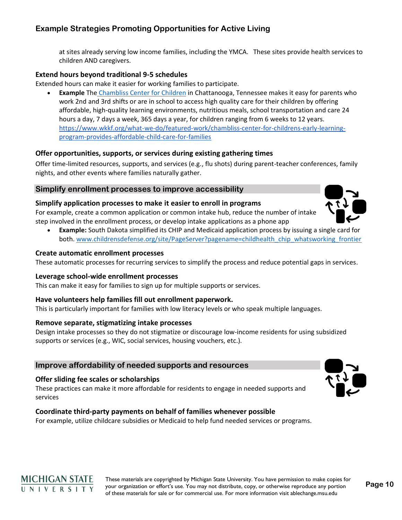at sites already serving low income families, including the YMCA. These sites provide health services to children AND caregivers.

### **Extend hours beyond traditional 9-5 schedules**

Extended hours can make it easier for working families to participate.

**Example** The [Chambliss Center for Children](http://www.chamblisscenter.org/) in Chattanooga, Tennessee makes it easy for parents who work 2nd and 3rd shifts or are in school to access high quality care for their children by offering affordable, high-quality learning environments, nutritious meals, school transportation and care 24 hours a day, 7 days a week, 365 days a year, for children ranging from 6 weeks to 12 years. [https://www.wkkf.org/what-we-do/featured-work/chambliss-center-for-childrens-early-learning](https://www.wkkf.org/what-we-do/featured-work/chambliss-center-for-childrens-early-learning-program-provides-affordable-child-care-for-families)[program-provides-affordable-child-care-for-families](https://www.wkkf.org/what-we-do/featured-work/chambliss-center-for-childrens-early-learning-program-provides-affordable-child-care-for-families)

### **Offer opportunities, supports, or services during existing gathering times**

Offer time-limited resources, supports, and services (e.g., flu shots) during parent-teacher conferences, family nights, and other events where families naturally gather.

### **Simplify enrollment processes to improve accessibility**

### **Simplify application processes to make it easier to enroll in programs**

For example, create a common application or common intake hub, reduce the number of intake step involved in the enrollment process, or develop intake applications as a phone app

• **Example:** South Dakota simplified its CHIP and Medicaid application process by issuing a single card for both. [www.childrensdefense.org/site/PageServer?pagename=childhealth\\_chip\\_whatsworking\\_frontier](http://www.childrensdefense.org/site/PageServer?pagename=childhealth_chip_whatsworking_frontier)

#### **Create automatic enrollment processes**

These automatic processes for recurring services to simplify the process and reduce potential gaps in services.

### **Leverage school-wide enrollment processes**

This can make it easy for families to sign up for multiple supports or services.

### **Have volunteers help families fill out enrollment paperwork.**

This is particularly important for families with low literacy levels or who speak multiple languages.

#### **Remove separate, stigmatizing intake processes**

Design intake processes so they do not stigmatize or discourage low-income residents for using subsidized supports or services (e.g., WIC, social services, housing vouchers, etc.).

### **Improve affordability of needed supports and resources**

#### **Offer sliding fee scales or scholarships**

These practices can make it more affordable for residents to engage in needed supports and services

### **Coordinate third-party payments on behalf of families whenever possible**

For example, utilize childcare subsidies or Medicaid to help fund needed services or programs.